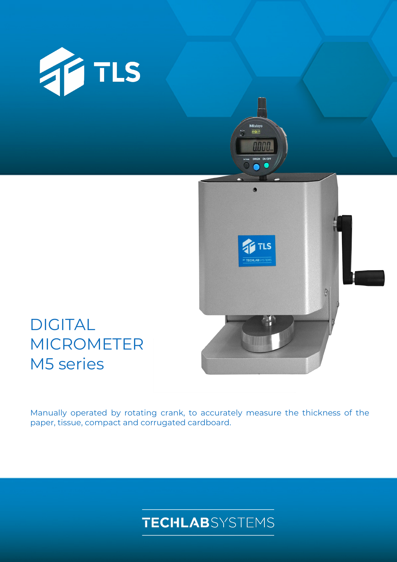



# DIGITAL MICROMETER M5 series

Manually operated by rotating crank, to accurately measure the thickness of the paper, tissue, compact and corrugated cardboard.

## **TECHLAB**SYSTEMS